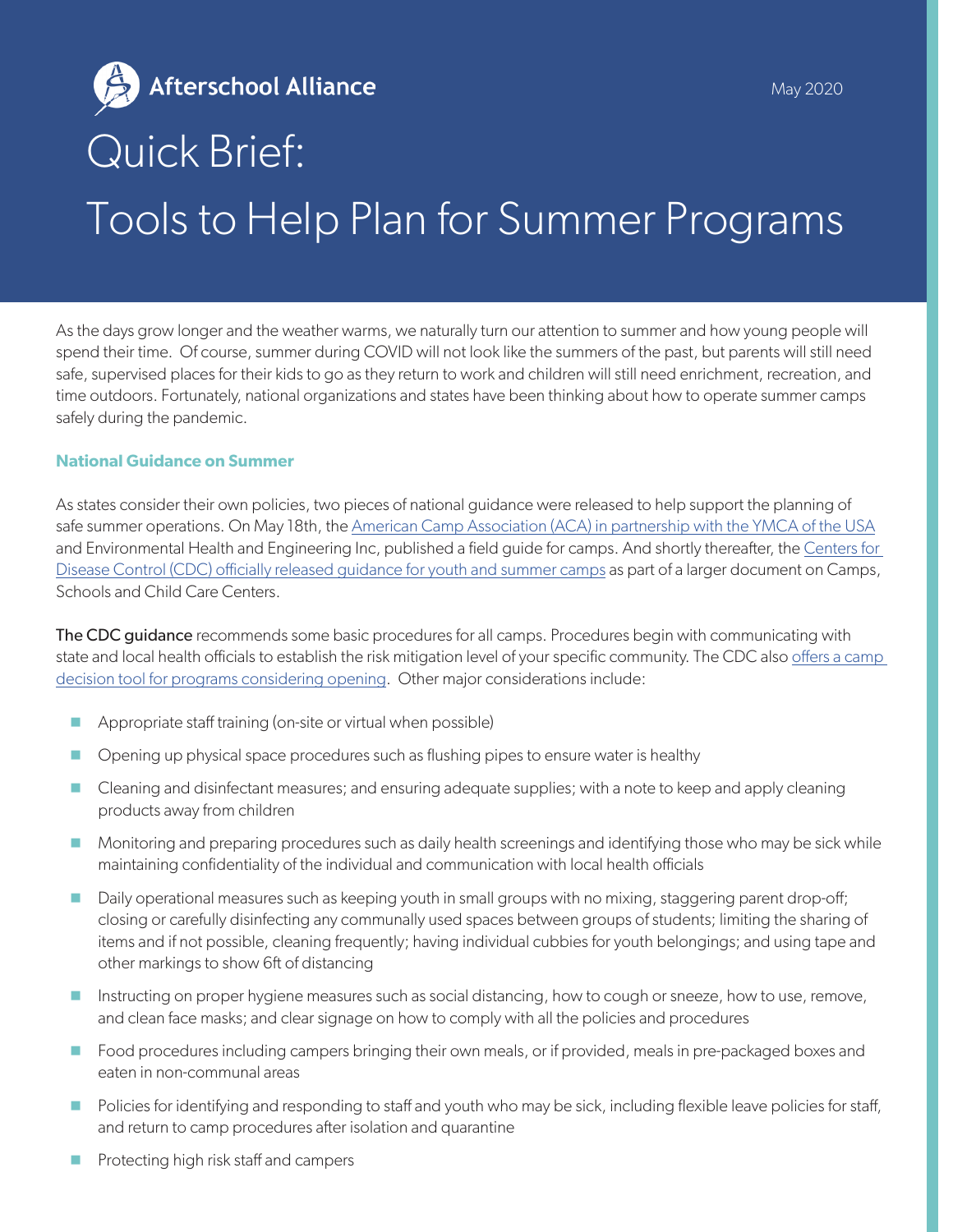Afterschool Alliance May 2020Quick Brief: Tools to Help Plan for Summer Programs

As the days grow longer and the weather warms, we naturally turn our attention to summer and how young people will spend their time. Of course, summer during COVID will not look like the summers of the past, but parents will still need safe, supervised places for their kids to go as they return to work and children will still need enrichment, recreation, and time outdoors. Fortunately, national organizations and states have been thinking about how to operate summer camps safely during the pandemic.

## **National Guidance on Summer**

As states consider their own policies, two pieces of national guidance were released to help support the planning of safe summer operations. On May 18th, the [American Camp Association \(ACA\) in partnership with the YMCA of the USA](https://www.acacamps.org/resource-library/coronavirus/camp-business/camp-operations-guide-summer-2020) and Environmental Health and Engineering Inc, published a field guide for camps. And shortly thereafter, the [Centers for](https://www.cdc.gov/coronavirus/2019-ncov/community/schools-childcare/summer-camps.html)  [Disease Control \(CDC\) officially released guidance for youth and summer camps](https://www.cdc.gov/coronavirus/2019-ncov/community/schools-childcare/summer-camps.html) as part of a larger document on Camps, Schools and Child Care Centers.

The CDC quidance recommends some basic procedures for all camps. Procedures begin with communicating with state and local health officials to establish the risk mitigation level of your specific community. The CDC also offers a camp [decision tool for programs considering opening](https://www.cdc.gov/coronavirus/2019-ncov/community/schools-childcare/youth-programs-decision-tool.html). Other major considerations include:

- Appropriate staff training (on-site or virtual when possible)
- **Opening up physical space procedures such as flushing pipes to ensure water is healthy**
- **D** Cleaning and disinfectant measures; and ensuring adequate supplies; with a note to keep and apply cleaning products away from children
- Monitoring and preparing procedures such as daily health screenings and identifying those who may be sick while maintaining confidentiality of the individual and communication with local health officials
- Daily operational measures such as keeping youth in small groups with no mixing, staggering parent drop-off; closing or carefully disinfecting any communally used spaces between groups of students; limiting the sharing of items and if not possible, cleaning frequently; having individual cubbies for youth belongings; and using tape and other markings to show 6ft of distancing
- Instructing on proper hygiene measures such as social distancing, how to cough or sneeze, how to use, remove, and clean face masks; and clear signage on how to comply with all the policies and procedures
- **Food procedures including campers bringing their own meals, or if provided, meals in pre-packaged boxes and** eaten in non-communal areas
- **Policies for identifying and responding to staff and youth who may be sick, including flexible leave policies for staff,** and return to camp procedures after isolation and quarantine
- **Protecting high risk staff and campers**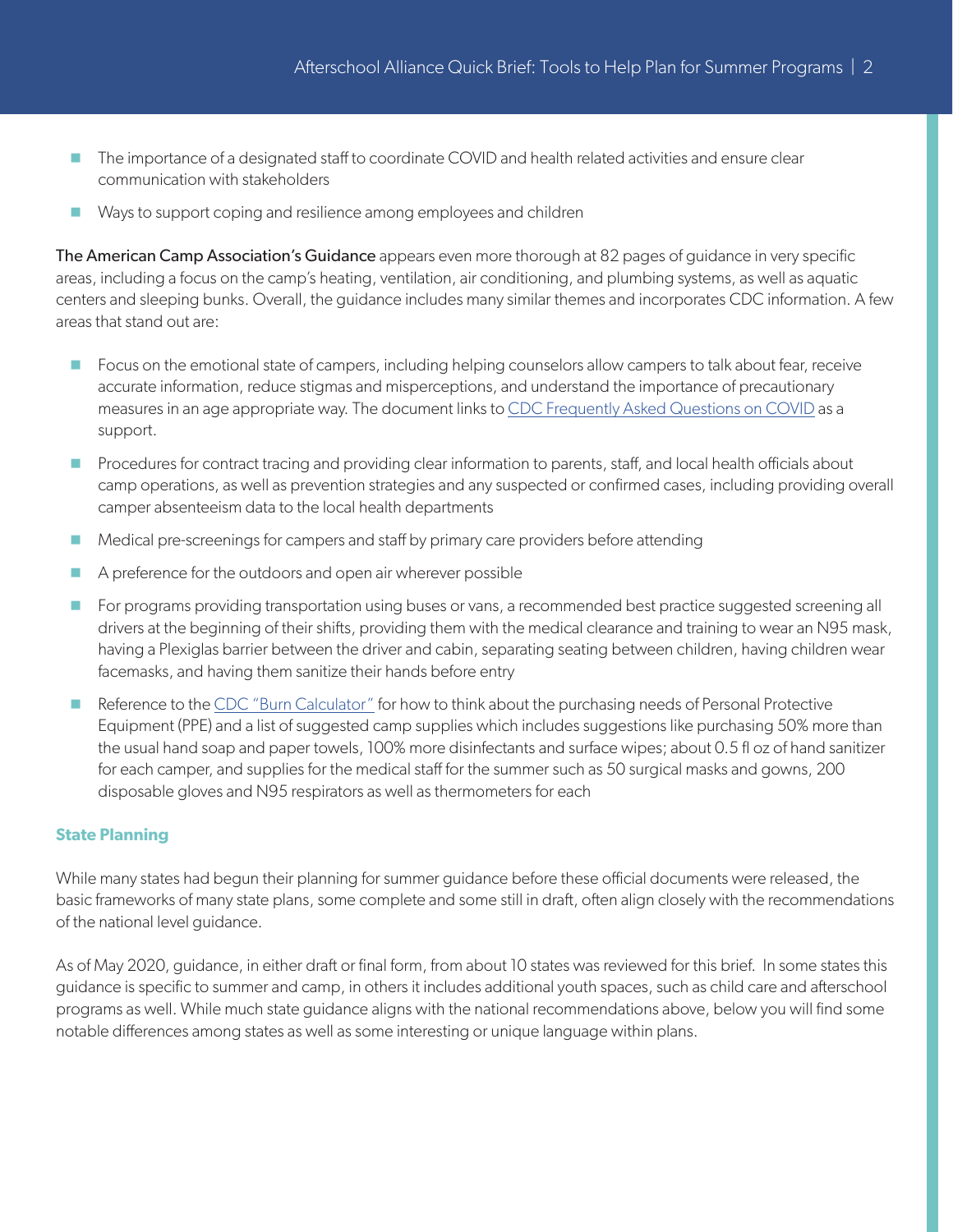- The importance of a designated staff to coordinate COVID and health related activities and ensure clear communication with stakeholders
- Ways to support coping and resilience among employees and children

The American Camp Association's Guidance appears even more thorough at 82 pages of guidance in very specific areas, including a focus on the camp's heating, ventilation, air conditioning, and plumbing systems, as well as aquatic centers and sleeping bunks. Overall, the guidance includes many similar themes and incorporates CDC information. A few areas that stand out are:

- **F** Focus on the emotional state of campers, including helping counselors allow campers to talk about fear, receive accurate information, reduce stigmas and misperceptions, and understand the importance of precautionary measures in an age appropriate way. The document links to [CDC Frequently Asked Questions on COVID](https://www.cdc.gov/coronavirus/2019-ncov/faq.html) as a support.
- **Procedures for contract tracing and providing clear information to parents, staff, and local health officials about** camp operations, as well as prevention strategies and any suspected or confirmed cases, including providing overall camper absenteeism data to the local health departments
- Medical pre-screenings for campers and staff by primary care providers before attending
- A preference for the outdoors and open air wherever possible
- **For programs providing transportation using buses or vans, a recommended best practice suggested screening all** drivers at the beginning of their shifts, providing them with the medical clearance and training to wear an N95 mask, having a Plexiglas barrier between the driver and cabin, separating seating between children, having children wear facemasks, and having them sanitize their hands before entry
- Reference to the [CDC "Burn Calculator"](https://www.cdc.gov/coronavirus/2019-ncov/hcp/ppe-strategy/burn-calculator.html) for how to think about the purchasing needs of Personal Protective Equipment (PPE) and a list of suggested camp supplies which includes suggestions like purchasing 50% more than the usual hand soap and paper towels, 100% more disinfectants and surface wipes; about 0.5 fl oz of hand sanitizer for each camper, and supplies for the medical staff for the summer such as 50 surgical masks and gowns, 200 disposable gloves and N95 respirators as well as thermometers for each

## **State Planning**

While many states had begun their planning for summer guidance before these official documents were released, the basic frameworks of many state plans, some complete and some still in draft, often align closely with the recommendations of the national level guidance.

As of May 2020, guidance, in either draft or final form, from about 10 states was reviewed for this brief. In some states this guidance is specific to summer and camp, in others it includes additional youth spaces, such as child care and afterschool programs as well. While much state guidance aligns with the national recommendations above, below you will find some notable differences among states as well as some interesting or unique language within plans.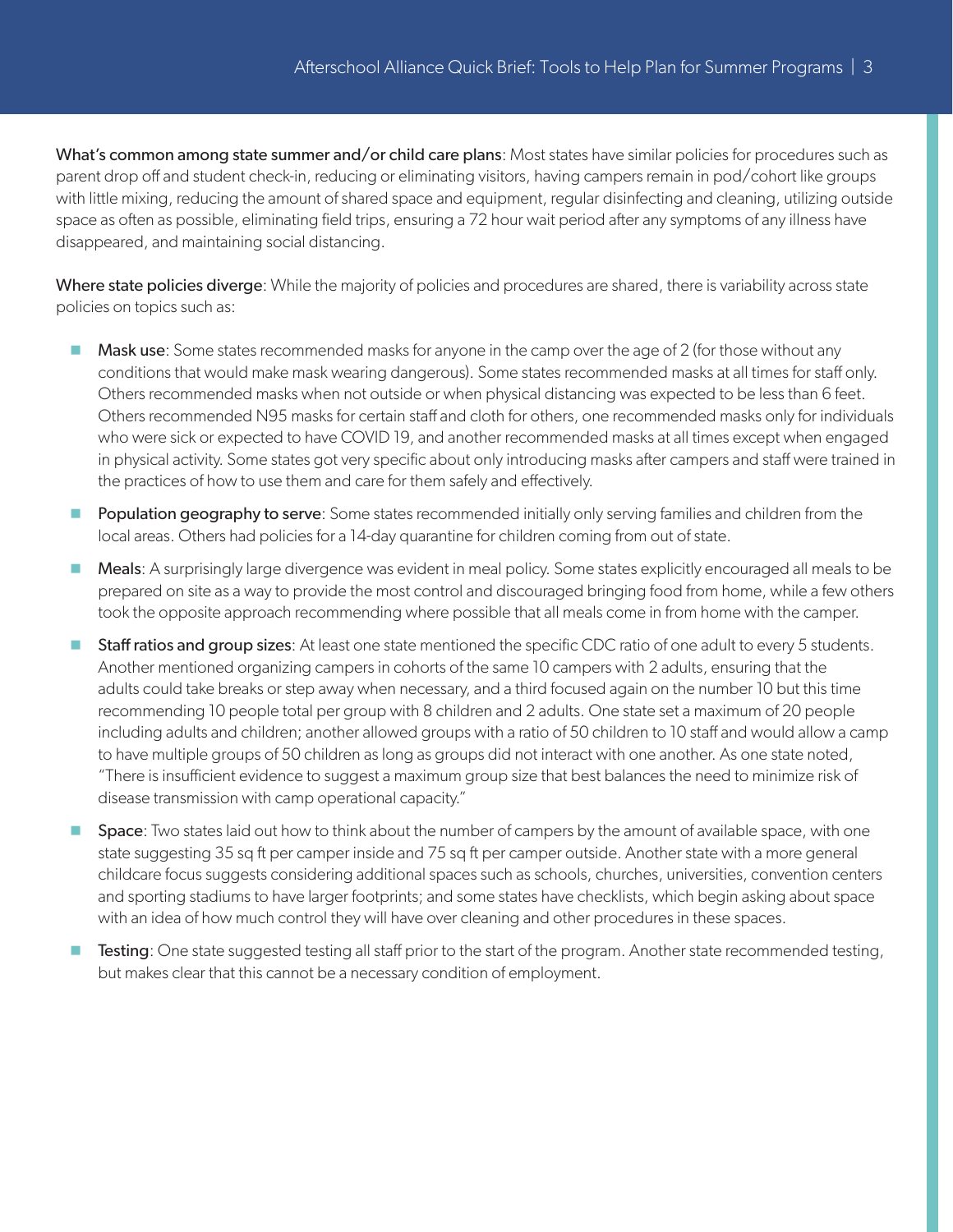What's common among state summer and/or child care plans: Most states have similar policies for procedures such as parent drop off and student check-in, reducing or eliminating visitors, having campers remain in pod/cohort like groups with little mixing, reducing the amount of shared space and equipment, regular disinfecting and cleaning, utilizing outside space as often as possible, eliminating field trips, ensuring a 72 hour wait period after any symptoms of any illness have disappeared, and maintaining social distancing.

Where state policies diverge: While the majority of policies and procedures are shared, there is variability across state policies on topics such as:

- $\blacksquare$  Mask use: Some states recommended masks for anyone in the camp over the age of 2 (for those without any conditions that would make mask wearing dangerous). Some states recommended masks at all times for staff only. Others recommended masks when not outside or when physical distancing was expected to be less than 6 feet. Others recommended N95 masks for certain staff and cloth for others, one recommended masks only for individuals who were sick or expected to have COVID 19, and another recommended masks at all times except when engaged in physical activity. Some states got very specific about only introducing masks after campers and staff were trained in the practices of how to use them and care for them safely and effectively.
- **Population geography to serve**: Some states recommended initially only serving families and children from the local areas. Others had policies for a 14-day quarantine for children coming from out of state.
- Meals: A surprisingly large divergence was evident in meal policy. Some states explicitly encouraged all meals to be prepared on site as a way to provide the most control and discouraged bringing food from home, while a few others took the opposite approach recommending where possible that all meals come in from home with the camper.
- **Staff ratios and group sizes:** At least one state mentioned the specific CDC ratio of one adult to every 5 students. Another mentioned organizing campers in cohorts of the same 10 campers with 2 adults, ensuring that the adults could take breaks or step away when necessary, and a third focused again on the number 10 but this time recommending 10 people total per group with 8 children and 2 adults. One state set a maximum of 20 people including adults and children; another allowed groups with a ratio of 50 children to 10 staff and would allow a camp to have multiple groups of 50 children as long as groups did not interact with one another. As one state noted, "There is insufficient evidence to suggest a maximum group size that best balances the need to minimize risk of disease transmission with camp operational capacity."
- **Space:** Two states laid out how to think about the number of campers by the amount of available space, with one state suggesting 35 sq ft per camper inside and 75 sq ft per camper outside. Another state with a more general childcare focus suggests considering additional spaces such as schools, churches, universities, convention centers and sporting stadiums to have larger footprints; and some states have checklists, which begin asking about space with an idea of how much control they will have over cleaning and other procedures in these spaces.
- **Testing:** One state suggested testing all staff prior to the start of the program. Another state recommended testing, but makes clear that this cannot be a necessary condition of employment.